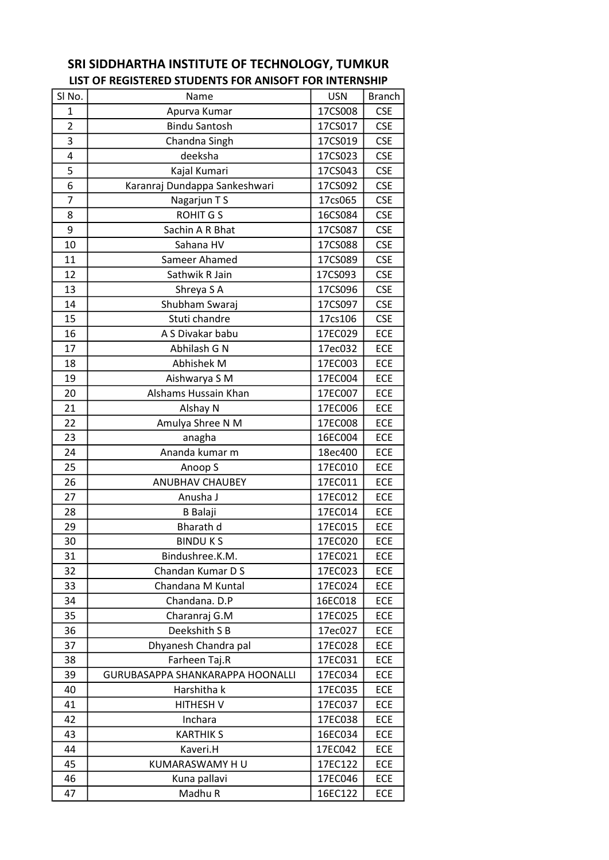| SI <sub>No.</sub> | Name                             | <b>USN</b> | <b>Branch</b> |
|-------------------|----------------------------------|------------|---------------|
| 1                 | Apurva Kumar                     | 17CS008    | <b>CSE</b>    |
| $\overline{2}$    | <b>Bindu Santosh</b>             | 17CS017    | <b>CSE</b>    |
| 3                 | Chandna Singh                    | 17CS019    | <b>CSE</b>    |
| 4                 | deeksha                          | 17CS023    | <b>CSE</b>    |
| 5                 | Kajal Kumari                     | 17CS043    | <b>CSE</b>    |
| 6                 | Karanraj Dundappa Sankeshwari    | 17CS092    | <b>CSE</b>    |
| $\overline{7}$    | Nagarjun T S                     | 17cs065    | <b>CSE</b>    |
| 8                 | <b>ROHIT GS</b>                  | 16CS084    | <b>CSE</b>    |
| 9                 | Sachin A R Bhat                  | 17CS087    | <b>CSE</b>    |
| 10                | Sahana HV                        | 17CS088    | <b>CSE</b>    |
| 11                | Sameer Ahamed                    | 17CS089    | <b>CSE</b>    |
| 12                | Sathwik R Jain                   | 17CS093    | <b>CSE</b>    |
| 13                | Shreya S A                       | 17CS096    | <b>CSE</b>    |
| 14                | Shubham Swaraj                   | 17CS097    | <b>CSE</b>    |
| 15                | Stuti chandre                    | 17cs106    | <b>CSE</b>    |
| 16                | A S Divakar babu                 | 17EC029    | <b>ECE</b>    |
| 17                | Abhilash G N                     | 17ec032    | ECE           |
| 18                | Abhishek M                       | 17EC003    | <b>ECE</b>    |
| 19                | Aishwarya S M                    | 17EC004    | <b>ECE</b>    |
| 20                | Alshams Hussain Khan             | 17EC007    | ECE           |
| 21                | Alshay N                         | 17EC006    | ECE           |
| 22                | Amulya Shree N M                 | 17EC008    | ECE           |
| 23                | anagha                           | 16EC004    | <b>ECE</b>    |
| 24                | Ananda kumar m                   | 18ec400    | ECE           |
| 25                | Anoop S                          | 17EC010    | <b>ECE</b>    |
| 26                | <b>ANUBHAV CHAUBEY</b>           | 17EC011    | ECE           |
| 27                | Anusha J                         | 17EC012    | ECE           |
| 28                | <b>B</b> Balaji                  | 17EC014    | ECE           |
| 29                | Bharath d                        | 17EC015    | ECE           |
| 30                | <b>BINDUKS</b>                   | 17EC020    | ECE           |
| 31                | Bindushree.K.M.                  | 17EC021    | ECE           |
| 32                | Chandan Kumar D S                | 17EC023    | ECE           |
| 33                | Chandana M Kuntal                | 17EC024    | <b>ECE</b>    |
| 34                | Chandana. D.P                    | 16EC018    | ECE           |
| 35                | Charanraj G.M                    | 17EC025    | <b>ECE</b>    |
| 36                | Deekshith S B                    | 17ec027    | <b>ECE</b>    |
| 37                | Dhyanesh Chandra pal             | 17EC028    | <b>ECE</b>    |
| 38                | Farheen Taj.R                    | 17EC031    | ECE           |
| 39                | GURUBASAPPA SHANKARAPPA HOONALLI | 17EC034    | ECE           |
| 40                | Harshitha k                      | 17EC035    | <b>ECE</b>    |
| 41                | <b>HITHESH V</b>                 | 17EC037    | ECE           |
| 42                | Inchara                          | 17EC038    | <b>ECE</b>    |
| 43                | <b>KARTHIK S</b>                 | 16EC034    | ECE           |
| 44                | Kaveri.H                         | 17EC042    | ECE           |
| 45                | KUMARASWAMY HU                   | 17EC122    | <b>ECE</b>    |
| 46                | Kuna pallavi                     | 17EC046    | ECE           |
| 47                | Madhu R                          | 16EC122    | ECE           |

## SRI SIDDHARTHA INSTITUTE OF TECHNOLOGY, TUMKUR LIST OF REGISTERED STUDENTS FOR ANISOFT FOR INTERNSHIP